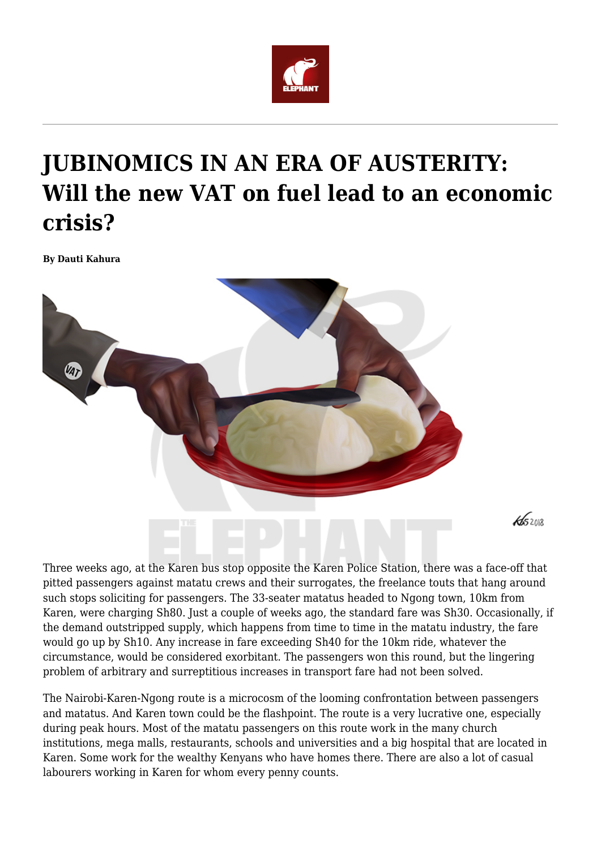

## **JUBINOMICS IN AN ERA OF AUSTERITY: Will the new VAT on fuel lead to an economic crisis?**

**By Dauti Kahura**



 $452012$ 

Three weeks ago, at the Karen bus stop opposite the Karen Police Station, there was a face-off that pitted passengers against matatu crews and their surrogates, the freelance touts that hang around such stops soliciting for passengers. The 33-seater matatus headed to Ngong town, 10km from Karen, were charging Sh80. Just a couple of weeks ago, the standard fare was Sh30. Occasionally, if the demand outstripped supply, which happens from time to time in the matatu industry, the fare would go up by Sh10. Any increase in fare exceeding Sh40 for the 10km ride, whatever the circumstance, would be considered exorbitant. The passengers won this round, but the lingering problem of arbitrary and surreptitious increases in transport fare had not been solved.

The Nairobi-Karen-Ngong route is a microcosm of the looming confrontation between passengers and matatus. And Karen town could be the flashpoint. The route is a very lucrative one, especially during peak hours. Most of the matatu passengers on this route work in the many church institutions, mega malls, restaurants, schools and universities and a big hospital that are located in Karen. Some work for the wealthy Kenyans who have homes there. There are also a lot of casual labourers working in Karen for whom every penny counts.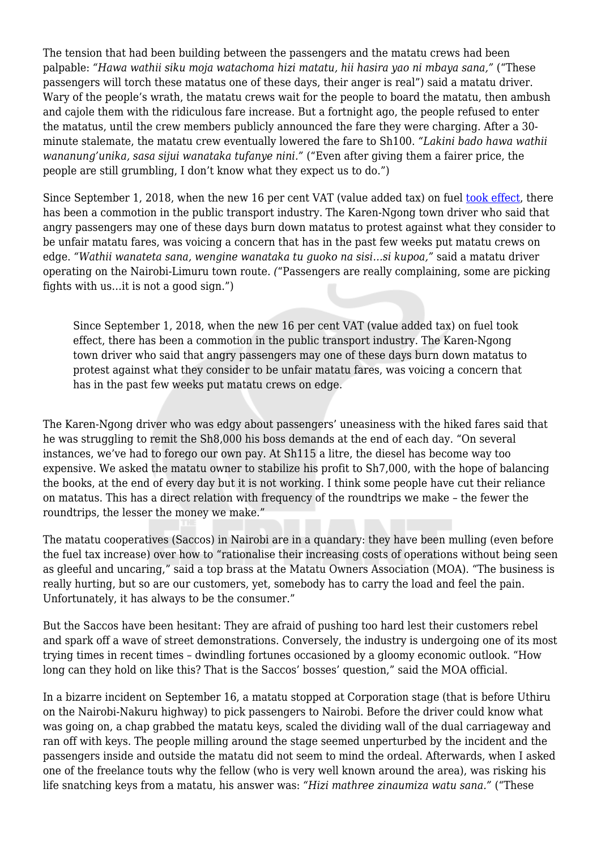The tension that had been building between the passengers and the matatu crews had been palpable: *"Hawa wathii siku moja watachoma hizi matatu, hii hasira yao ni mbaya sana,"* ("These passengers will torch these matatus one of these days, their anger is real") said a matatu driver. Wary of the people's wrath, the matatu crews wait for the people to board the matatu, then ambush and cajole them with the ridiculous fare increase. But a fortnight ago, the people refused to enter the matatus, until the crew members publicly announced the fare they were charging. After a 30 minute stalemate, the matatu crew eventually lowered the fare to Sh100. *"Lakini bado hawa wathii wananung'unika, sasa sijui wanataka tufanye nini."* ("Even after giving them a fairer price, the people are still grumbling, I don't know what they expect us to do.")

Since September 1, 2018, when the new 16 per cent VAT (value added tax) on fuel [took effect](https://www.capitalfm.co.ke/news/2018/09/kra-says-16pc-vat-on-petroleum-products-takes-effect-today/), there has been a commotion in the public transport industry. The Karen-Ngong town driver who said that angry passengers may one of these days burn down matatus to protest against what they consider to be unfair matatu fares, was voicing a concern that has in the past few weeks put matatu crews on edge. *"Wathii wanateta sana, wengine wanataka tu guoko na sisi…si kupoa,"* said a matatu driver operating on the Nairobi-Limuru town route. *(*"Passengers are really complaining, some are picking fights with us…it is not a good sign.")

Since September 1, 2018, when the new 16 per cent VAT (value added tax) on fuel took effect, there has been a commotion in the public transport industry. The Karen-Ngong town driver who said that angry passengers may one of these days burn down matatus to protest against what they consider to be unfair matatu fares, was voicing a concern that has in the past few weeks put matatu crews on edge.

The Karen-Ngong driver who was edgy about passengers' uneasiness with the hiked fares said that he was struggling to remit the Sh8,000 his boss demands at the end of each day. "On several instances, we've had to forego our own pay. At Sh115 a litre, the diesel has become way too expensive. We asked the matatu owner to stabilize his profit to Sh7,000, with the hope of balancing the books, at the end of every day but it is not working. I think some people have cut their reliance on matatus. This has a direct relation with frequency of the roundtrips we make – the fewer the roundtrips, the lesser the money we make."

The matatu cooperatives (Saccos) in Nairobi are in a quandary: they have been mulling (even before the fuel tax increase) over how to "rationalise their increasing costs of operations without being seen as gleeful and uncaring," said a top brass at the Matatu Owners Association (MOA). "The business is really hurting, but so are our customers, yet, somebody has to carry the load and feel the pain. Unfortunately, it has always to be the consumer."

But the Saccos have been hesitant: They are afraid of pushing too hard lest their customers rebel and spark off a wave of street demonstrations. Conversely, the industry is undergoing one of its most trying times in recent times – dwindling fortunes occasioned by a gloomy economic outlook. "How long can they hold on like this? That is the Saccos' bosses' question," said the MOA official.

In a bizarre incident on September 16, a matatu stopped at Corporation stage (that is before Uthiru on the Nairobi-Nakuru highway) to pick passengers to Nairobi. Before the driver could know what was going on, a chap grabbed the matatu keys, scaled the dividing wall of the dual carriageway and ran off with keys. The people milling around the stage seemed unperturbed by the incident and the passengers inside and outside the matatu did not seem to mind the ordeal. Afterwards, when I asked one of the freelance touts why the fellow (who is very well known around the area), was risking his life snatching keys from a matatu, his answer was: *"Hizi mathree zinaumiza watu sana."* ("These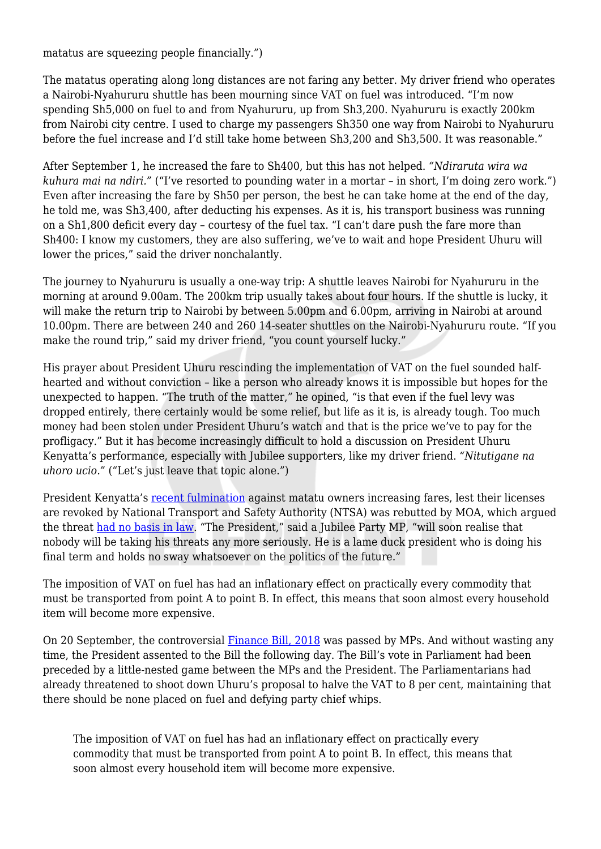matatus are squeezing people financially.")

The matatus operating along long distances are not faring any better. My driver friend who operates a Nairobi-Nyahururu shuttle has been mourning since VAT on fuel was introduced. "I'm now spending Sh5,000 on fuel to and from Nyahururu, up from Sh3,200. Nyahururu is exactly 200km from Nairobi city centre. I used to charge my passengers Sh350 one way from Nairobi to Nyahururu before the fuel increase and I'd still take home between Sh3,200 and Sh3,500. It was reasonable."

After September 1, he increased the fare to Sh400, but this has not helped. *"Ndiraruta wira wa kuhura mai na ndiri."* ("I've resorted to pounding water in a mortar – in short, I'm doing zero work.") Even after increasing the fare by Sh50 per person, the best he can take home at the end of the day, he told me, was Sh3,400, after deducting his expenses. As it is, his transport business was running on a Sh1,800 deficit every day – courtesy of the fuel tax. "I can't dare push the fare more than Sh400: I know my customers, they are also suffering, we've to wait and hope President Uhuru will lower the prices," said the driver nonchalantly.

The journey to Nyahururu is usually a one-way trip: A shuttle leaves Nairobi for Nyahururu in the morning at around 9.00am. The 200km trip usually takes about four hours. If the shuttle is lucky, it will make the return trip to Nairobi by between 5.00pm and 6.00pm, arriving in Nairobi at around 10.00pm. There are between 240 and 260 14-seater shuttles on the Nairobi-Nyahururu route. "If you make the round trip," said my driver friend, "you count yourself lucky."

His prayer about President Uhuru rescinding the implementation of VAT on the fuel sounded halfhearted and without conviction – like a person who already knows it is impossible but hopes for the unexpected to happen. "The truth of the matter," he opined, "is that even if the fuel levy was dropped entirely, there certainly would be some relief, but life as it is, is already tough. Too much money had been stolen under President Uhuru's watch and that is the price we've to pay for the profligacy." But it has become increasingly difficult to hold a discussion on President Uhuru Kenyatta's performance, especially with Jubilee supporters, like my driver friend. *"Nitutigane na uhoro ucio."* ("Let's just leave that topic alone.")

President Kenyatta's [recent fulmination](http://www.president.go.ke/2018/09/18/jubilee-mps-endorse-presidents-proposal-to-reduce-vat-on-petroleum-products-to-8-per-cent/) against matatu owners increasing fares, lest their licenses are revoked by National Transport and Safety Authority (NTSA) was rebutted by MOA, which argued the threat [had no basis in law.](https://www.nation.co.ke/business/Uhuru-s-order-on-fare-control-has-no-legal-backing/996-4768072-coxlk6z/index.html) "The President," said a Jubilee Party MP, "will soon realise that nobody will be taking his threats any more seriously. He is a lame duck president who is doing his final term and holds no sway whatsoever on the politics of the future."

The imposition of VAT on fuel has had an inflationary effect on practically every commodity that must be transported from point A to point B. In effect, this means that soon almost every household item will become more expensive.

On 20 September, the controversial [Finance Bill, 2018](https://www.nation.co.ke/news/Uhuru-Kenyatta-signs-Finance-Bill-2018/1056-4770354-sndhkxz/index.html) was passed by MPs. And without wasting any time, the President assented to the Bill the following day. The Bill's vote in Parliament had been preceded by a little-nested game between the MPs and the President. The Parliamentarians had already threatened to shoot down Uhuru's proposal to halve the VAT to 8 per cent, maintaining that there should be none placed on fuel and defying party chief whips.

The imposition of VAT on fuel has had an inflationary effect on practically every commodity that must be transported from point A to point B. In effect, this means that soon almost every household item will become more expensive.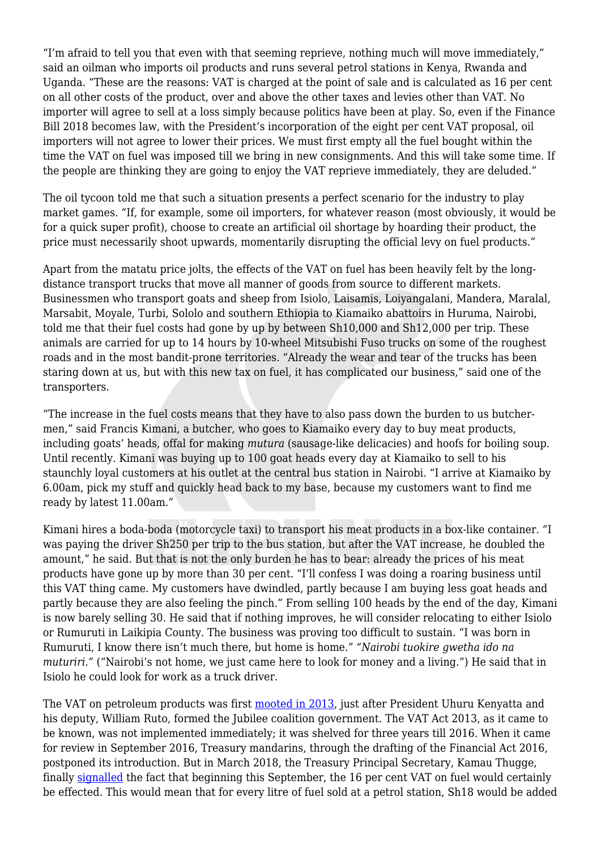"I'm afraid to tell you that even with that seeming reprieve, nothing much will move immediately," said an oilman who imports oil products and runs several petrol stations in Kenya, Rwanda and Uganda. "These are the reasons: VAT is charged at the point of sale and is calculated as 16 per cent on all other costs of the product, over and above the other taxes and levies other than VAT. No importer will agree to sell at a loss simply because politics have been at play. So, even if the Finance Bill 2018 becomes law, with the President's incorporation of the eight per cent VAT proposal, oil importers will not agree to lower their prices. We must first empty all the fuel bought within the time the VAT on fuel was imposed till we bring in new consignments. And this will take some time. If the people are thinking they are going to enjoy the VAT reprieve immediately, they are deluded."

The oil tycoon told me that such a situation presents a perfect scenario for the industry to play market games. "If, for example, some oil importers, for whatever reason (most obviously, it would be for a quick super profit), choose to create an artificial oil shortage by hoarding their product, the price must necessarily shoot upwards, momentarily disrupting the official levy on fuel products."

Apart from the matatu price jolts, the effects of the VAT on fuel has been heavily felt by the longdistance transport trucks that move all manner of goods from source to different markets. Businessmen who transport goats and sheep from Isiolo, Laisamis, Loiyangalani, Mandera, Maralal, Marsabit, Moyale, Turbi, Sololo and southern Ethiopia to Kiamaiko abattoirs in Huruma, Nairobi, told me that their fuel costs had gone by up by between Sh10,000 and Sh12,000 per trip. These animals are carried for up to 14 hours by 10-wheel Mitsubishi Fuso trucks on some of the roughest roads and in the most bandit-prone territories. "Already the wear and tear of the trucks has been staring down at us, but with this new tax on fuel, it has complicated our business," said one of the transporters.

"The increase in the fuel costs means that they have to also pass down the burden to us butchermen," said Francis Kimani, a butcher, who goes to Kiamaiko every day to buy meat products, including goats' heads, offal for making *mutura* (sausage-like delicacies) and hoofs for boiling soup. Until recently. Kimani was buying up to 100 goat heads every day at Kiamaiko to sell to his staunchly loyal customers at his outlet at the central bus station in Nairobi. "I arrive at Kiamaiko by 6.00am, pick my stuff and quickly head back to my base, because my customers want to find me ready by latest 11.00am."

Kimani hires a boda-boda (motorcycle taxi) to transport his meat products in a box-like container. "I was paying the driver Sh250 per trip to the bus station, but after the VAT increase, he doubled the amount," he said. But that is not the only burden he has to bear: already the prices of his meat products have gone up by more than 30 per cent. "I'll confess I was doing a roaring business until this VAT thing came. My customers have dwindled, partly because I am buying less goat heads and partly because they are also feeling the pinch." From selling 100 heads by the end of the day, Kimani is now barely selling 30. He said that if nothing improves, he will consider relocating to either Isiolo or Rumuruti in Laikipia County. The business was proving too difficult to sustain. "I was born in Rumuruti, I know there isn't much there, but home is home." *"Nairobi tuokire gwetha ido na muturiri."* ("Nairobi's not home, we just came here to look for money and a living.") He said that in Isiolo he could look for work as a truck driver.

The VAT on petroleum products was first [mooted in 2013](http://www.brainstorm.co.ke/2013/10/01/death-by-vat/), just after President Uhuru Kenyatta and his deputy, William Ruto, formed the Jubilee coalition government. The VAT Act 2013, as it came to be known, was not implemented immediately; it was shelved for three years till 2016. When it came for review in September 2016, Treasury mandarins, through the drafting of the Financial Act 2016, postponed its introduction. But in March 2018, the Treasury Principal Secretary, Kamau Thugge, finally [signalled](https://www.businessdailyafrica.com/economy/Petrol-price-to-hit-Sh130-as-VAT-charge-kicks-in/3946234-4706264-u2epb7z/index.html) the fact that beginning this September, the 16 per cent VAT on fuel would certainly be effected. This would mean that for every litre of fuel sold at a petrol station, Sh18 would be added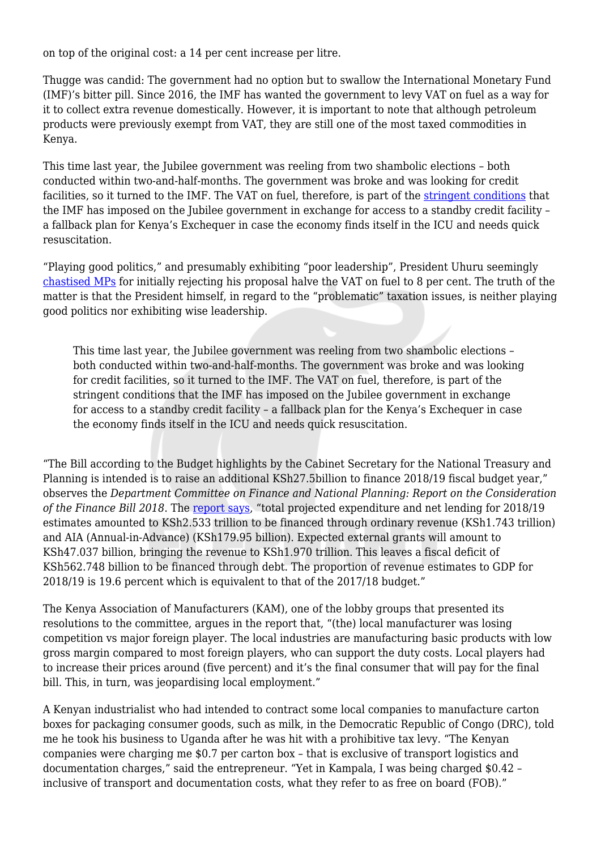on top of the original cost: a 14 per cent increase per litre.

Thugge was candid: The government had no option but to swallow the International Monetary Fund (IMF)'s bitter pill. Since 2016, the IMF has wanted the government to levy VAT on fuel as a way for it to collect extra revenue domestically. However, it is important to note that although petroleum products were previously exempt from VAT, they are still one of the most taxed commodities in Kenya.

This time last year, the Jubilee government was reeling from two shambolic elections – both conducted within two-and-half-months. The government was broke and was looking for credit facilities, so it turned to the IMF. The VAT on fuel, therefore, is part of the [stringent conditions](https://www.standardmedia.co.ke/business/article/2001273205/conditions-to-kenya-as-imf-extends-rainy-day-loan) that the IMF has imposed on the Jubilee government in exchange for access to a standby credit facility – a fallback plan for Kenya's Exchequer in case the economy finds itself in the ICU and needs quick resuscitation.

"Playing good politics," and presumably exhibiting "poor leadership", President Uhuru seemingly [chastised MPs](https://www.the-star.co.ke/news/2018/09/13/uhuru-rejects-finance-bill-shelving-16-vat-on-fuel_c1818557) for initially rejecting his proposal halve the VAT on fuel to 8 per cent. The truth of the matter is that the President himself, in regard to the "problematic" taxation issues, is neither playing good politics nor exhibiting wise leadership.

This time last year, the Jubilee government was reeling from two shambolic elections – both conducted within two-and-half-months. The government was broke and was looking for credit facilities, so it turned to the IMF. The VAT on fuel, therefore, is part of the stringent conditions that the IMF has imposed on the Jubilee government in exchange for access to a standby credit facility – a fallback plan for the Kenya's Exchequer in case the economy finds itself in the ICU and needs quick resuscitation.

"The Bill according to the Budget highlights by the Cabinet Secretary for the National Treasury and Planning is intended is to raise an additional KSh27.5billion to finance 2018/19 fiscal budget year," observes the *Department Committee on Finance and National Planning: Report on the Consideration of the Finance Bill 2018*. The [report says,](http://www.parliament.go.ke/sites/default/files/2018-09/Report%20on%20%20the%20%20President%27s%20reservations%20on%20the%20Finance%20Bill%2C%202018_0.pdf) "total projected expenditure and net lending for 2018/19 estimates amounted to KSh2.533 trillion to be financed through ordinary revenue (KSh1.743 trillion) and AIA (Annual-in-Advance) (KSh179.95 billion). Expected external grants will amount to KSh47.037 billion, bringing the revenue to KSh1.970 trillion. This leaves a fiscal deficit of KSh562.748 billion to be financed through debt. The proportion of revenue estimates to GDP for 2018/19 is 19.6 percent which is equivalent to that of the 2017/18 budget."

The Kenya Association of Manufacturers (KAM), one of the lobby groups that presented its resolutions to the committee, argues in the report that, "(the) local manufacturer was losing competition vs major foreign player. The local industries are manufacturing basic products with low gross margin compared to most foreign players, who can support the duty costs. Local players had to increase their prices around (five percent) and it's the final consumer that will pay for the final bill. This, in turn, was jeopardising local employment."

A Kenyan industrialist who had intended to contract some local companies to manufacture carton boxes for packaging consumer goods, such as milk, in the Democratic Republic of Congo (DRC), told me he took his business to Uganda after he was hit with a prohibitive tax levy. "The Kenyan companies were charging me \$0.7 per carton box – that is exclusive of transport logistics and documentation charges," said the entrepreneur. "Yet in Kampala, I was being charged \$0.42 – inclusive of transport and documentation costs, what they refer to as free on board (FOB)."